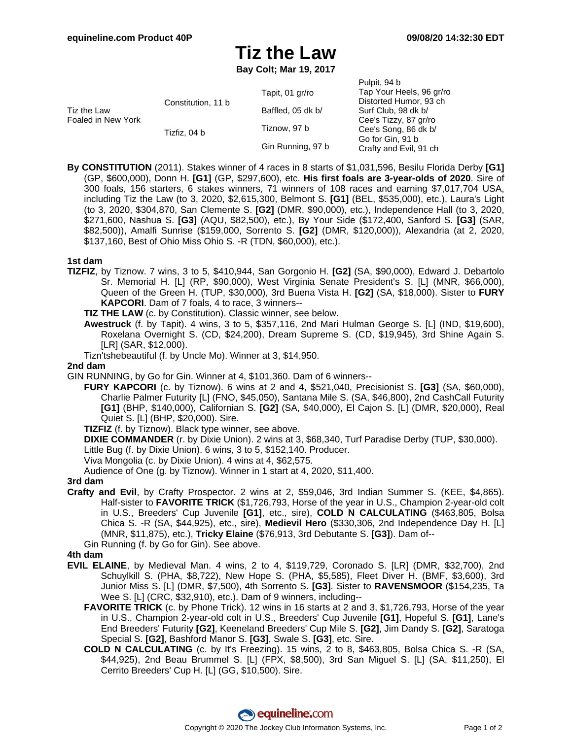# **Tiz the Law**

**Bay Colt; Mar 19, 2017**

|                                   |                    |                   | Pulpit, 94 b                                                                                                                                                             |
|-----------------------------------|--------------------|-------------------|--------------------------------------------------------------------------------------------------------------------------------------------------------------------------|
| Tiz the Law<br>Foaled in New York | Constitution, 11 b | Tapit, 01 gr/ro   | Tap Your Heels, 96 gr/ro<br>Distorted Humor, 93 ch<br>Surf Club, 98 dk b/<br>Cee's Tizzy, 87 gr/ro<br>Cee's Song, 86 dk b/<br>Go for Gin, 91 b<br>Crafty and Evil, 91 ch |
|                                   |                    | Baffled, 05 dk b/ |                                                                                                                                                                          |
|                                   | Tizfiz. 04 b       | Tiznow, 97 b      |                                                                                                                                                                          |
|                                   |                    | Gin Running, 97 b |                                                                                                                                                                          |

**By CONSTITUTION** (2011). Stakes winner of 4 races in 8 starts of \$1,031,596, Besilu Florida Derby **[G1]** (GP, \$600,000), Donn H. **[G1]** (GP, \$297,600), etc. **His first foals are 3-year-olds of 2020**. Sire of 300 foals, 156 starters, 6 stakes winners, 71 winners of 108 races and earning \$7,017,704 USA, including Tiz the Law (to 3, 2020, \$2,615,300, Belmont S. **[G1]** (BEL, \$535,000), etc.), Laura's Light (to 3, 2020, \$304,870, San Clemente S. **[G2]** (DMR, \$90,000), etc.), Independence Hall (to 3, 2020, \$271,600, Nashua S. **[G3]** (AQU, \$82,500), etc.), By Your Side (\$172,400, Sanford S. **[G3]** (SAR, \$82,500)), Amalfi Sunrise (\$159,000, Sorrento S. **[G2]** (DMR, \$120,000)), Alexandria (at 2, 2020, \$137,160, Best of Ohio Miss Ohio S. -R (TDN, \$60,000), etc.).

# **1st dam**

- **TIZFIZ**, by Tiznow. 7 wins, 3 to 5, \$410,944, San Gorgonio H. **[G2]** (SA, \$90,000), Edward J. Debartolo Sr. Memorial H. [L] (RP, \$90,000), West Virginia Senate President's S. [L] (MNR, \$66,000), Queen of the Green H. (TUP, \$30,000), 3rd Buena Vista H. **[G2]** (SA, \$18,000). Sister to **FURY KAPCORI**. Dam of 7 foals, 4 to race, 3 winners--
	- **TIZ THE LAW** (c. by Constitution). Classic winner, see below.
	- **Awestruck** (f. by Tapit). 4 wins, 3 to 5, \$357,116, 2nd Mari Hulman George S. [L] (IND, \$19,600), Roxelana Overnight S. (CD, \$24,200), Dream Supreme S. (CD, \$19,945), 3rd Shine Again S. [LR] (SAR, \$12,000).
	- Tizn'tshebeautiful (f. by Uncle Mo). Winner at 3, \$14,950.

# **2nd dam**

GIN RUNNING, by Go for Gin. Winner at 4, \$101,360. Dam of 6 winners--

**FURY KAPCORI** (c. by Tiznow). 6 wins at 2 and 4, \$521,040, Precisionist S. **[G3]** (SA, \$60,000), Charlie Palmer Futurity [L] (FNO, \$45,050), Santana Mile S. (SA, \$46,800), 2nd CashCall Futurity **[G1]** (BHP, \$140,000), Californian S. **[G2]** (SA, \$40,000), El Cajon S. [L] (DMR, \$20,000), Real Quiet S. [L] (BHP, \$20,000). Sire.

**TIZFIZ** (f. by Tiznow). Black type winner, see above.

**DIXIE COMMANDER** (r. by Dixie Union). 2 wins at 3, \$68,340, Turf Paradise Derby (TUP, \$30,000). Little Bug (f. by Dixie Union). 6 wins, 3 to 5, \$152,140. Producer.

Viva Mongolia (c. by Dixie Union). 4 wins at 4, \$62,575.

Audience of One (g. by Tiznow). Winner in 1 start at 4, 2020, \$11,400.

#### **3rd dam**

**Crafty and Evil**, by Crafty Prospector. 2 wins at 2, \$59,046, 3rd Indian Summer S. (KEE, \$4,865). Half-sister to **FAVORITE TRICK** (\$1,726,793, Horse of the year in U.S., Champion 2-year-old colt in U.S., Breeders' Cup Juvenile **[G1]**, etc., sire), **COLD N CALCULATING** (\$463,805, Bolsa Chica S. -R (SA, \$44,925), etc., sire), **Medievil Hero** (\$330,306, 2nd Independence Day H. [L] (MNR, \$11,875), etc.), **Tricky Elaine** (\$76,913, 3rd Debutante S. **[G3]**). Dam of--

Gin Running (f. by Go for Gin). See above.

### **4th dam**

- **EVIL ELAINE**, by Medieval Man. 4 wins, 2 to 4, \$119,729, Coronado S. [LR] (DMR, \$32,700), 2nd Schuylkill S. (PHA, \$8,722), New Hope S. (PHA, \$5,585), Fleet Diver H. (BMF, \$3,600), 3rd Junior Miss S. [L] (DMR, \$7,500), 4th Sorrento S. **[G3]**. Sister to **RAVENSMOOR** (\$154,235, Ta Wee S. [L] (CRC, \$32,910), etc.). Dam of 9 winners, including--
	- **FAVORITE TRICK** (c. by Phone Trick). 12 wins in 16 starts at 2 and 3, \$1,726,793, Horse of the year in U.S., Champion 2-year-old colt in U.S., Breeders' Cup Juvenile **[G1]**, Hopeful S. **[G1]**, Lane's End Breeders' Futurity **[G2]**, Keeneland Breeders' Cup Mile S. **[G2]**, Jim Dandy S. **[G2]**, Saratoga Special S. **[G2]**, Bashford Manor S. **[G3]**, Swale S. **[G3]**, etc. Sire.
	- **COLD N CALCULATING** (c. by It's Freezing). 15 wins, 2 to 8, \$463,805, Bolsa Chica S. -R (SA, \$44,925), 2nd Beau Brummel S. [L] (FPX, \$8,500), 3rd San Miguel S. [L] (SA, \$11,250), El Cerrito Breeders' Cup H. [L] (GG, \$10,500). Sire.